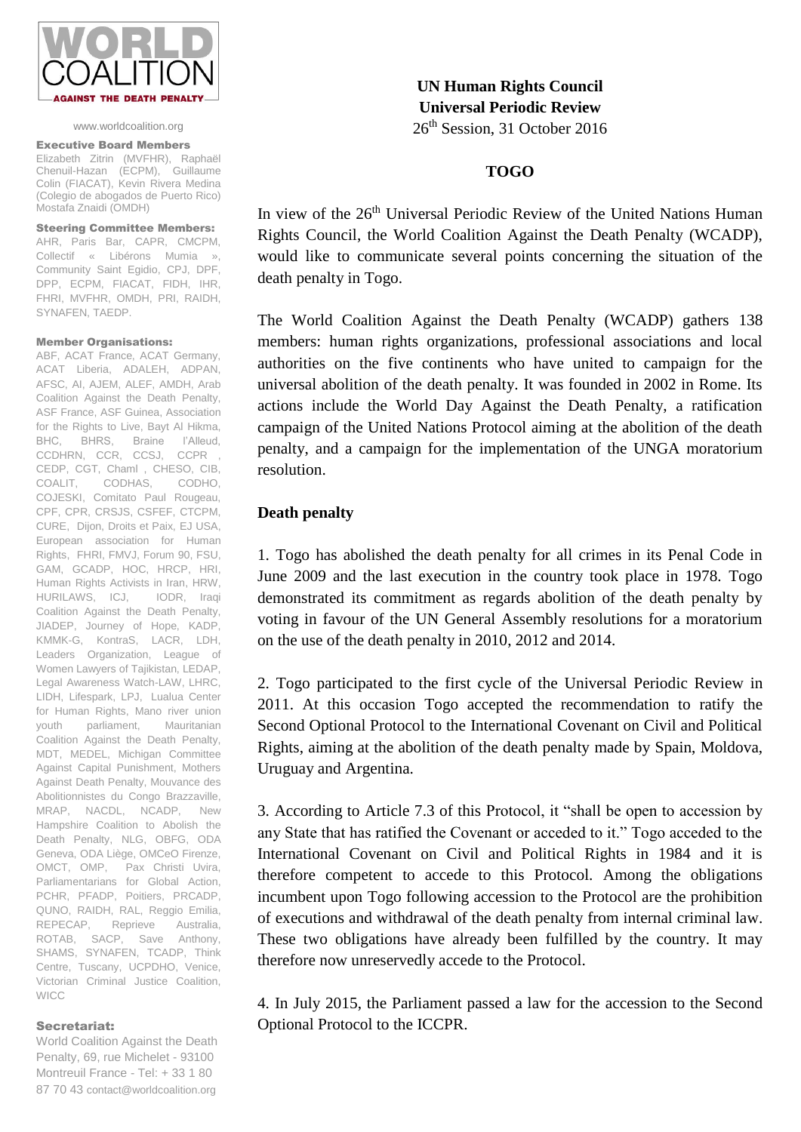

### www.worldcoalition.org

#### Executive Board Members

Elizabeth Zitrin (MVFHR), Raphaël Chenuil-Hazan (ECPM), Guillaume Colin (FIACAT), Kevin Rivera Medina (Colegio de abogados de Puerto Rico) Mostafa Znaidi (OMDH)

## Steering Committee Members:

AHR, Paris Bar, CAPR, CMCPM, Collectif « Libérons Mumia », Community Saint Egidio, CPJ, DPF, DPP, ECPM, FIACAT, FIDH, IHR, FHRI, MVFHR, OMDH, PRI, RAIDH, SYNAFEN, TAEDP.

#### Member Organisations:

ABF, ACAT France, ACAT Germany, ACAT Liberia, ADALEH, ADPAN, AFSC, AI, AJEM, ALEF, AMDH, Arab Coalition Against the Death Penalty, ASF France, ASF Guinea, Association for the Rights to Live, Bayt Al Hikma, BHC, BHRS, Braine l'Alleud, CCDHRN, CCR, CCSJ, CCPR , CEDP, CGT, Chaml , CHESO, CIB, COALIT, CODHAS, CODHO, COJESKI, Comitato Paul Rougeau, CPF, CPR, CRSJS, CSFEF, CTCPM, CURE, Dijon, Droits et Paix, EJ USA, European association for Human Rights, FHRI, FMVJ, Forum 90, FSU, GAM, GCADP, HOC, HRCP, HRI, Human Rights Activists in Iran, HRW, HURILAWS, ICJ, IODR, Iraqi Coalition Against the Death Penalty, JIADEP, Journey of Hope, KADP, KMMK-G, KontraS, LACR, LDH, Leaders Organization, League of Women Lawyers of Tajikistan, LEDAP, Legal Awareness Watch-LAW, LHRC, LIDH, Lifespark, LPJ, Lualua Center for Human Rights, Mano river union youth parliament, Mauritanian Coalition Against the Death Penalty, MDT, MEDEL, Michigan Committee Against Capital Punishment, Mothers Against Death Penalty, Mouvance des Abolitionnistes du Congo Brazzaville, MRAP, NACDL, NCADP, New Hampshire Coalition to Abolish the Death Penalty, NLG, OBFG, ODA Geneva, ODA Liège, OMCeO Firenze, OMCT, OMP, Pax Christi Uvira, Parliamentarians for Global Action, PCHR, PFADP, Poitiers, PRCADP, QUNO, RAIDH, RAL, Reggio Emilia, REPECAP, Reprieve Australia, ROTAB, SACP, Save Anthony, SHAMS, SYNAFEN, TCADP, Think Centre, Tuscany, UCPDHO, Venice, Victorian Criminal Justice Coalition, **WICC** 

## Secretariat:

World Coalition Against the Death Penalty, 69, rue Michelet - 93100 Montreuil France - Tel: + 33 1 80 87 70 43 contact@worldcoalition.org

**UN Human Rights Council Universal Periodic Review** 26<sup>th</sup> Session, 31 October 2016

## **TOGO**

In view of the 26<sup>th</sup> Universal Periodic Review of the United Nations Human Rights Council, the World Coalition Against the Death Penalty (WCADP), would like to communicate several points concerning the situation of the death penalty in Togo.

The World Coalition Against the Death Penalty (WCADP) gathers 138 members: human rights organizations, professional associations and local authorities on the five continents who have united to campaign for the universal abolition of the death penalty. It was founded in 2002 in Rome. Its actions include the World Day Against the Death Penalty, a ratification campaign of the United Nations Protocol aiming at the abolition of the death penalty, and a campaign for the implementation of the UNGA moratorium resolution.

# **Death penalty**

1. Togo has abolished the death penalty for all crimes in its Penal Code in June 2009 and the last execution in the country took place in 1978. Togo demonstrated its commitment as regards abolition of the death penalty by voting in favour of the UN General Assembly resolutions for a moratorium on the use of the death penalty in 2010, 2012 and 2014.

2. Togo participated to the first cycle of the Universal Periodic Review in 2011. At this occasion Togo accepted the recommendation to ratify the Second Optional Protocol to the International Covenant on Civil and Political Rights, aiming at the abolition of the death penalty made by Spain, Moldova, Uruguay and Argentina.

3. According to Article 7.3 of this Protocol, it "shall be open to accession by any State that has ratified the Covenant or acceded to it." Togo acceded to the International Covenant on Civil and Political Rights in 1984 and it is therefore competent to accede to this Protocol. Among the obligations incumbent upon Togo following accession to the Protocol are the prohibition of executions and withdrawal of the death penalty from internal criminal law. These two obligations have already been fulfilled by the country. It may therefore now unreservedly accede to the Protocol.

4. In July 2015, the Parliament passed a law for the accession to the Second Optional Protocol to the ICCPR.